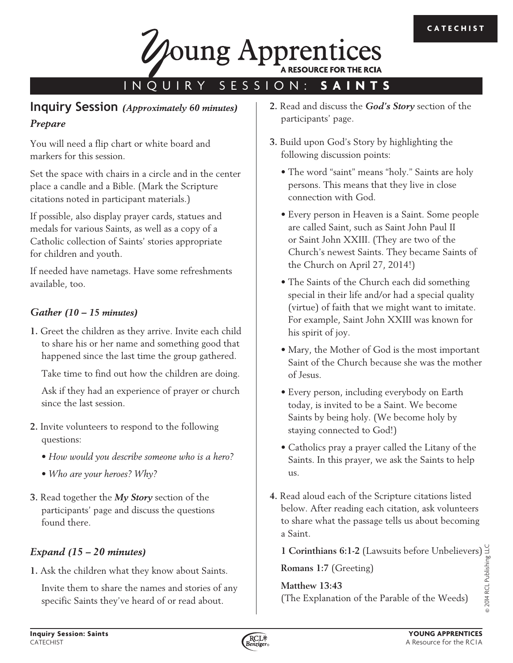

# INQUIRY SESSION: **SAINTS**

## **Inquiry Session** *(Approximately 60 minutes) Prepare*

You will need a flip chart or white board and markers for this session.

Set the space with chairs in a circle and in the center place a candle and a Bible. (Mark the Scripture citations noted in participant materials.)

If possible, also display prayer cards, statues and medals for various Saints, as well as a copy of a Catholic collection of Saints' stories appropriate for children and youth.

If needed have nametags. Have some refreshments available, too.

#### *Gather (10 – 15 minutes)*

**1.** Greet the children as they arrive. Invite each child to share his or her name and something good that happened since the last time the group gathered.

Take time to find out how the children are doing.

Ask if they had an experience of prayer or church since the last session.

- **2.** Invite volunteers to respond to the following questions:
	- *How would you describe someone who is a hero?*
	- *Who are your heroes? Why?*
- **3.** Read together the *My Story* section of the participants' page and discuss the questions found there.

### *Expand (15 – 20 minutes)*

**1.** Ask the children what they know about Saints.

Invite them to share the names and stories of any specific Saints they've heard of or read about.

- **2.** Read and discuss the *God's Story* section of the participants' page.
- **3.** Build upon God's Story by highlighting the following discussion points:
	- The word "saint" means "holy." Saints are holy persons. This means that they live in close connection with God.
	- Every person in Heaven is a Saint. Some people are called Saint, such as Saint John Paul II or Saint John XXIII. (They are two of the Church's newest Saints. They became Saints of the Church on April 27, 2014!)
	- The Saints of the Church each did something special in their life and/or had a special quality (virtue) of faith that we might want to imitate. For example, Saint John XXIII was known for his spirit of joy.
	- Mary, the Mother of God is the most important Saint of the Church because she was the mother of Jesus.
	- Every person, including everybody on Earth today, is invited to be a Saint. We become Saints by being holy. (We become holy by staying connected to God!)
	- Catholics pray a prayer called the Litany of the Saints. In this prayer, we ask the Saints to help us.
- **4.** Read aloud each of the Scripture citations listed below. After reading each citation, ask volunteers to share what the passage tells us about becoming a Saint.

**1 Corinthians 6:1-2** (Lawsuits before Unbelievers)

**Romans 1:7** (Greeting)

**Matthew 13:43**  (The Explanation of the Parable of the Weeds)



© 2014 RCL Publishing LLC